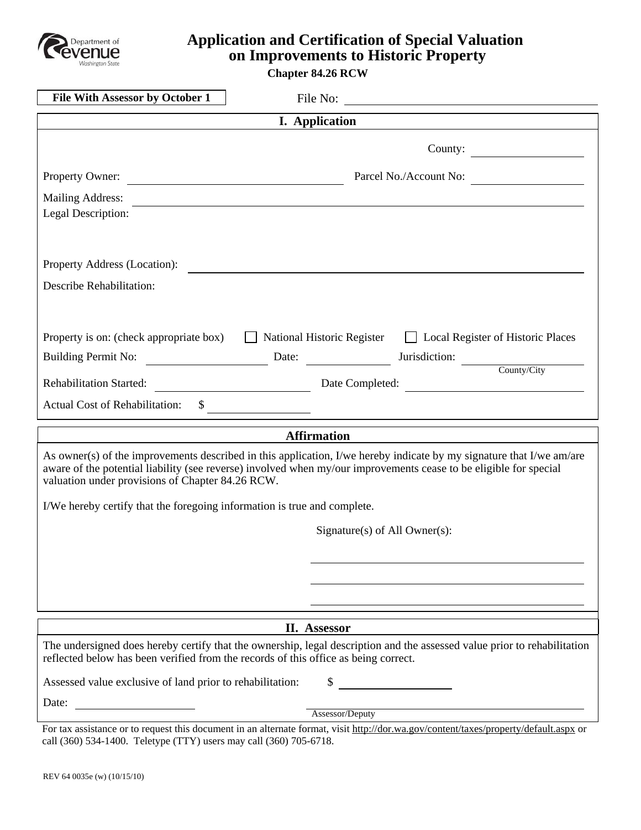

# **Application and Certification of Special Valuation on Improvements to Historic Property**

**Chapter 84.26 RCW**

| <b>File With Assessor by October 1</b>                                                                                                                                                                                                                                                        | File No:                                                          |
|-----------------------------------------------------------------------------------------------------------------------------------------------------------------------------------------------------------------------------------------------------------------------------------------------|-------------------------------------------------------------------|
| <b>I.</b> Application                                                                                                                                                                                                                                                                         |                                                                   |
|                                                                                                                                                                                                                                                                                               | County:                                                           |
| Property Owner:                                                                                                                                                                                                                                                                               | Parcel No./Account No:                                            |
| Mailing Address:                                                                                                                                                                                                                                                                              |                                                                   |
| Legal Description:                                                                                                                                                                                                                                                                            |                                                                   |
|                                                                                                                                                                                                                                                                                               |                                                                   |
| Property Address (Location):                                                                                                                                                                                                                                                                  |                                                                   |
| Describe Rehabilitation:                                                                                                                                                                                                                                                                      |                                                                   |
|                                                                                                                                                                                                                                                                                               |                                                                   |
| Property is on: (check appropriate box)                                                                                                                                                                                                                                                       | National Historic Register<br>□ Local Register of Historic Places |
|                                                                                                                                                                                                                                                                                               | Building Permit No: Date: Date: Jurisdiction: County/City         |
|                                                                                                                                                                                                                                                                                               |                                                                   |
| <b>Rehabilitation Started:</b>                                                                                                                                                                                                                                                                | Date Completed:                                                   |
| <b>Actual Cost of Rehabilitation:</b><br>\$                                                                                                                                                                                                                                                   |                                                                   |
| <b>Affirmation</b>                                                                                                                                                                                                                                                                            |                                                                   |
| As owner(s) of the improvements described in this application, I/we hereby indicate by my signature that I/we am/are<br>aware of the potential liability (see reverse) involved when my/our improvements cease to be eligible for special<br>valuation under provisions of Chapter 84.26 RCW. |                                                                   |
| I/We hereby certify that the foregoing information is true and complete.                                                                                                                                                                                                                      |                                                                   |
|                                                                                                                                                                                                                                                                                               | Signature(s) of All Owner(s):                                     |
|                                                                                                                                                                                                                                                                                               |                                                                   |
|                                                                                                                                                                                                                                                                                               |                                                                   |
|                                                                                                                                                                                                                                                                                               |                                                                   |
|                                                                                                                                                                                                                                                                                               |                                                                   |
| II. Assessor                                                                                                                                                                                                                                                                                  |                                                                   |
| The undersigned does hereby certify that the ownership, legal description and the assessed value prior to rehabilitation<br>reflected below has been verified from the records of this office as being correct.                                                                               |                                                                   |
| Assessed value exclusive of land prior to rehabilitation:                                                                                                                                                                                                                                     | \$                                                                |
| Date:                                                                                                                                                                                                                                                                                         | Assessor/Deputy                                                   |
| For tax assistance or to request this document in an alternate format, visit http://dor.wa.gov/content/taxes/property/default.aspx or                                                                                                                                                         |                                                                   |
| call (360) 534-1400. Teletype (TTY) users may call (360) 705-6718.                                                                                                                                                                                                                            |                                                                   |